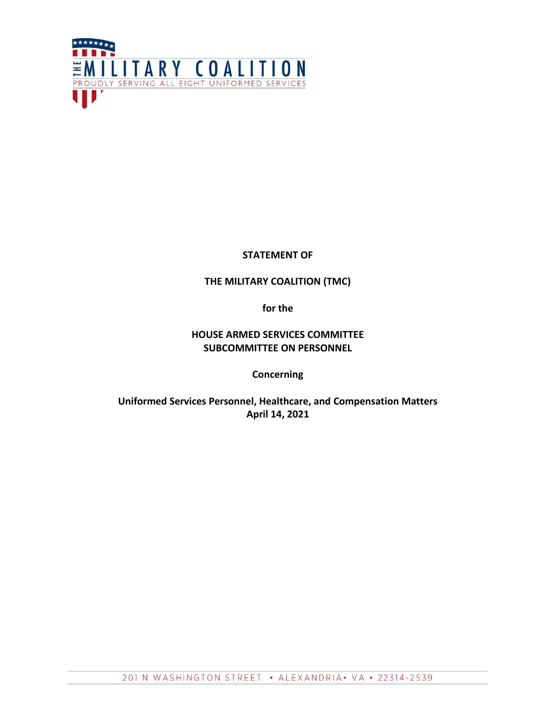

## **STATEMENT OF**

# **THE MILITARY COALITION (TMC)**

**for the**

# **HOUSE ARMED SERVICES COMMITTEE SUBCOMMITTEE ON PERSONNEL**

**Concerning**

**Uniformed Services Personnel, Healthcare, and Compensation Matters April 14, 2021**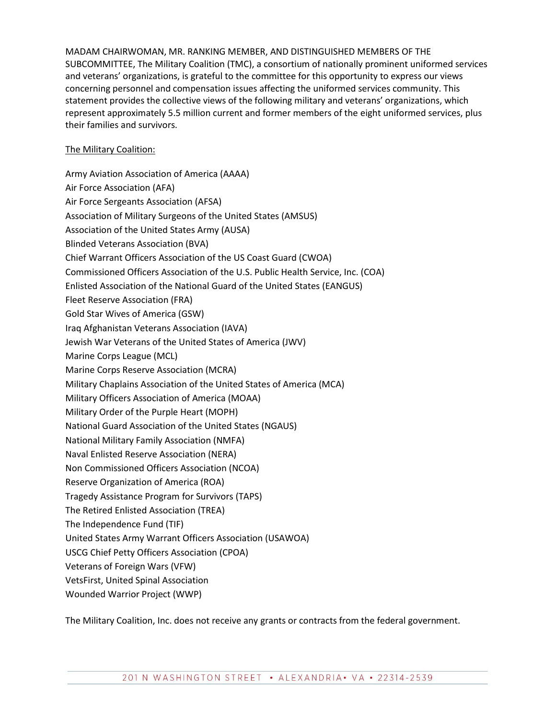MADAM CHAIRWOMAN, MR. RANKING MEMBER, AND DISTINGUISHED MEMBERS OF THE SUBCOMMITTEE, The Military Coalition (TMC), a consortium of nationally prominent uniformed services and veterans' organizations, is grateful to the committee for this opportunity to express our views concerning personnel and compensation issues affecting the uniformed services community. This statement provides the collective views of the following military and veterans' organizations, which represent approximately 5.5 million current and former members of the eight uniformed services, plus their families and survivors.

## The Military Coalition:

Army Aviation Association of America (AAAA) Air Force Association (AFA) Air Force Sergeants Association (AFSA) Association of Military Surgeons of the United States (AMSUS) Association of the United States Army (AUSA) Blinded Veterans Association (BVA) Chief Warrant Officers Association of the US Coast Guard (CWOA) Commissioned Officers Association of the U.S. Public Health Service, Inc. (COA) Enlisted Association of the National Guard of the United States (EANGUS) Fleet Reserve Association (FRA) Gold Star Wives of America (GSW) Iraq Afghanistan Veterans Association (IAVA) Jewish War Veterans of the United States of America (JWV) Marine Corps League (MCL) Marine Corps Reserve Association (MCRA) Military Chaplains Association of the United States of America (MCA) Military Officers Association of America (MOAA) Military Order of the Purple Heart (MOPH) National Guard Association of the United States (NGAUS) National Military Family Association (NMFA) Naval Enlisted Reserve Association (NERA) Non Commissioned Officers Association (NCOA) Reserve Organization of America (ROA) Tragedy Assistance Program for Survivors (TAPS) The Retired Enlisted Association (TREA) The Independence Fund (TIF) United States Army Warrant Officers Association (USAWOA) USCG Chief Petty Officers Association (CPOA) Veterans of Foreign Wars (VFW) VetsFirst, United Spinal Association Wounded Warrior Project (WWP)

The Military Coalition, Inc. does not receive any grants or contracts from the federal government.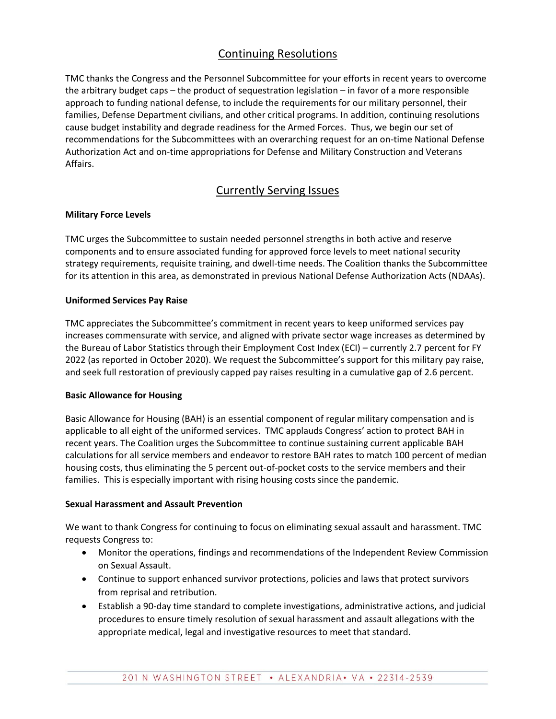# Continuing Resolutions

TMC thanks the Congress and the Personnel Subcommittee for your efforts in recent years to overcome the arbitrary budget caps – the product of sequestration legislation – in favor of a more responsible approach to funding national defense, to include the requirements for our military personnel, their families, Defense Department civilians, and other critical programs. In addition, continuing resolutions cause budget instability and degrade readiness for the Armed Forces. Thus, we begin our set of recommendations for the Subcommittees with an overarching request for an on-time National Defense Authorization Act and on-time appropriations for Defense and Military Construction and Veterans Affairs.

# Currently Serving Issues

## **Military Force Levels**

TMC urges the Subcommittee to sustain needed personnel strengths in both active and reserve components and to ensure associated funding for approved force levels to meet national security strategy requirements, requisite training, and dwell-time needs. The Coalition thanks the Subcommittee for its attention in this area, as demonstrated in previous National Defense Authorization Acts (NDAAs).

## **Uniformed Services Pay Raise**

TMC appreciates the Subcommittee's commitment in recent years to keep uniformed services pay increases commensurate with service, and aligned with private sector wage increases as determined by the Bureau of Labor Statistics through their Employment Cost Index (ECI) – currently 2.7 percent for FY 2022 (as reported in October 2020). We request the Subcommittee's support for this military pay raise, and seek full restoration of previously capped pay raises resulting in a cumulative gap of 2.6 percent.

#### **Basic Allowance for Housing**

Basic Allowance for Housing (BAH) is an essential component of regular military compensation and is applicable to all eight of the uniformed services. TMC applauds Congress' action to protect BAH in recent years. The Coalition urges the Subcommittee to continue sustaining current applicable BAH calculations for all service members and endeavor to restore BAH rates to match 100 percent of median housing costs, thus eliminating the 5 percent out-of-pocket costs to the service members and their families. This is especially important with rising housing costs since the pandemic.

#### **Sexual Harassment and Assault Prevention**

We want to thank Congress for continuing to focus on eliminating sexual assault and harassment. TMC requests Congress to:

- Monitor the operations, findings and recommendations of the Independent Review Commission on Sexual Assault.
- Continue to support enhanced survivor protections, policies and laws that protect survivors from reprisal and retribution.
- Establish a 90-day time standard to complete investigations, administrative actions, and judicial procedures to ensure timely resolution of sexual harassment and assault allegations with the appropriate medical, legal and investigative resources to meet that standard.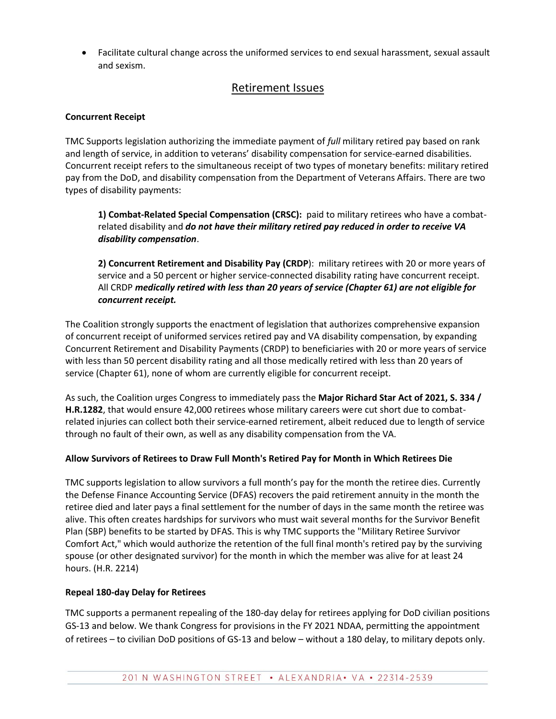Facilitate cultural change across the uniformed services to end sexual harassment, sexual assault and sexism.

# Retirement Issues

## **Concurrent Receipt**

TMC Supports legislation authorizing the immediate payment of *full* military retired pay based on rank and length of service, in addition to veterans' disability compensation for service-earned disabilities. Concurrent receipt refers to the simultaneous receipt of two types of monetary benefits: military retired pay from the DoD, and disability compensation from the Department of Veterans Affairs. There are two types of disability payments:

**1) Combat-Related Special Compensation (CRSC):** paid to military retirees who have a combatrelated disability and *do not have their military retired pay reduced in order to receive VA disability compensation*.

**2) Concurrent Retirement and Disability Pay (CRDP**): military retirees with 20 or more years of service and a 50 percent or higher service-connected disability rating have concurrent receipt. All CRDP *medically retired with less than 20 years of service (Chapter 61) are not eligible for concurrent receipt.*

The Coalition strongly supports the enactment of legislation that authorizes comprehensive expansion of concurrent receipt of uniformed services retired pay and VA disability compensation, by expanding Concurrent Retirement and Disability Payments (CRDP) to beneficiaries with 20 or more years of service with less than 50 percent disability rating and all those medically retired with less than 20 years of service (Chapter 61), none of whom are currently eligible for concurrent receipt.

As such, the Coalition urges Congress to immediately pass the **Major Richard Star Act of 2021, S. 334 / H.R.1282**, that would ensure 42,000 retirees whose military careers were cut short due to combatrelated injuries can collect both their service-earned retirement, albeit reduced due to length of service through no fault of their own, as well as any disability compensation from the VA.

#### **Allow Survivors of Retirees to Draw Full Month's Retired Pay for Month in Which Retirees Die**

TMC supports legislation to allow survivors a full month's pay for the month the retiree dies. Currently the Defense Finance Accounting Service (DFAS) recovers the paid retirement annuity in the month the retiree died and later pays a final settlement for the number of days in the same month the retiree was alive. This often creates hardships for survivors who must wait several months for the Survivor Benefit Plan (SBP) benefits to be started by DFAS. This is why TMC supports the "Military Retiree Survivor Comfort Act," which would authorize the retention of the full final month's retired pay by the surviving spouse (or other designated survivor) for the month in which the member was alive for at least 24 hours. (H.R. 2214)

#### **Repeal 180-day Delay for Retirees**

TMC supports a permanent repealing of the 180-day delay for retirees applying for DoD civilian positions GS-13 and below. We thank Congress for provisions in the FY 2021 NDAA, permitting the appointment of retirees – to civilian DoD positions of GS-13 and below – without a 180 delay, to military depots only.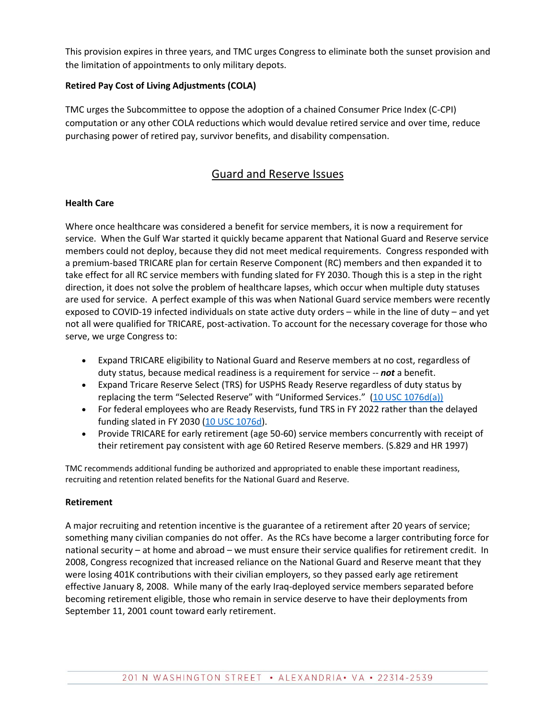This provision expires in three years, and TMC urges Congress to eliminate both the sunset provision and the limitation of appointments to only military depots.

## **Retired Pay Cost of Living Adjustments (COLA)**

TMC urges the Subcommittee to oppose the adoption of a chained Consumer Price Index (C-CPI) computation or any other COLA reductions which would devalue retired service and over time, reduce purchasing power of retired pay, survivor benefits, and disability compensation.

# Guard and Reserve Issues

## **Health Care**

Where once healthcare was considered a benefit for service members, it is now a requirement for service. When the Gulf War started it quickly became apparent that National Guard and Reserve service members could not deploy, because they did not meet medical requirements. Congress responded with a premium-based TRICARE plan for certain Reserve Component (RC) members and then expanded it to take effect for all RC service members with funding slated for FY 2030. Though this is a step in the right direction, it does not solve the problem of healthcare lapses, which occur when multiple duty statuses are used for service. A perfect example of this was when National Guard service members were recently exposed to COVID-19 infected individuals on state active duty orders – while in the line of duty – and yet not all were qualified for TRICARE, post-activation. To account for the necessary coverage for those who serve, we urge Congress to:

- Expand TRICARE eligibility to National Guard and Reserve members at no cost, regardless of duty status, because medical readiness is a requirement for service -- *not* a benefit.
- Expand Tricare Reserve Select (TRS) for USPHS Ready Reserve regardless of duty status by replacing the term "Selected Reserve" with "Uniformed Services." [\(10 USC 1076d\(a\)\)](https://www.govinfo.gov/content/pkg/USCODE-2010-title10/pdf/USCODE-2010-title10-subtitleA-partII-chap55-sec1076d.pdf)
- For federal employees who are Ready Reservists, fund TRS in FY 2022 rather than the delayed funding slated in FY 2030 [\(10 USC 1076d\)](https://www.govinfo.gov/app/details/USCODE-2010-title10/USCODE-2010-title10-subtitleA-partII-chap55-sec1076d).
- Provide TRICARE for early retirement (age 50-60) service members concurrently with receipt of their retirement pay consistent with age 60 Retired Reserve members. (S.829 and HR 1997)

TMC recommends additional funding be authorized and appropriated to enable these important readiness, recruiting and retention related benefits for the National Guard and Reserve.

#### **Retirement**

A major recruiting and retention incentive is the guarantee of a retirement after 20 years of service; something many civilian companies do not offer. As the RCs have become a larger contributing force for national security – at home and abroad – we must ensure their service qualifies for retirement credit. In 2008, Congress recognized that increased reliance on the National Guard and Reserve meant that they were losing 401K contributions with their civilian employers, so they passed early age retirement effective January 8, 2008. While many of the early Iraq-deployed service members separated before becoming retirement eligible, those who remain in service deserve to have their deployments from September 11, 2001 count toward early retirement.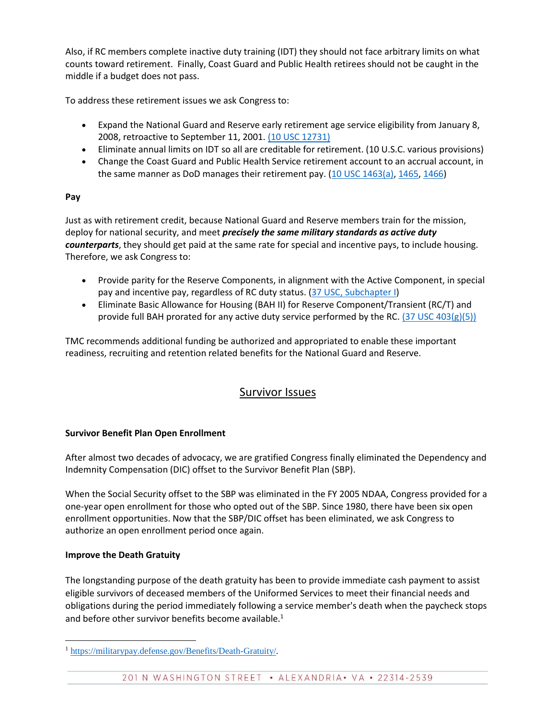Also, if RC members complete inactive duty training (IDT) they should not face arbitrary limits on what counts toward retirement. Finally, Coast Guard and Public Health retirees should not be caught in the middle if a budget does not pass.

To address these retirement issues we ask Congress to:

- Expand the National Guard and Reserve early retirement age service eligibility from January 8, 2008, retroactive to September 11, 2001. [\(10 USC 12731\)](https://www.govinfo.gov/content/pkg/USCODE-2006-title10/pdf/USCODE-2006-title10-subtitleE-partII-chap1223-sec12731.pdf)
- Eliminate annual limits on IDT so all are creditable for retirement. (10 U.S.C. various provisions)
- Change the Coast Guard and Public Health Service retirement account to an accrual account, in the same manner as DoD manages their retirement pay. [\(10 USC 1463\(a\),](https://uscode.house.gov/view.xhtml?req=granuleid:USC-prelim-title10-section1463&num=0&edition=prelim) [1465,](https://www.law.cornell.edu/uscode/text/10/1465) [1466\)](https://www.law.cornell.edu/uscode/text/10/1466)

## **Pay**

Just as with retirement credit, because National Guard and Reserve members train for the mission, deploy for national security, and meet *precisely the same military standards as active duty counterparts*, they should get paid at the same rate for special and incentive pays, to include housing. Therefore, we ask Congress to:

- Provide parity for the Reserve Components, in alignment with the Active Component, in special pay and incentive pay, regardless of RC duty status. [\(37 USC, Subchapter I\)](https://www.law.cornell.edu/uscode/text/37/chapter-5/subchapter-I)
- Eliminate Basic Allowance for Housing (BAH II) for Reserve Component/Transient (RC/T) and provide full BAH prorated for any active duty service performed by the RC.  $(37 \text{ USC } 403(g)(5))$

TMC recommends additional funding be authorized and appropriated to enable these important readiness, recruiting and retention related benefits for the National Guard and Reserve.

# Survivor Issues

#### **Survivor Benefit Plan Open Enrollment**

After almost two decades of advocacy, we are gratified Congress finally eliminated the Dependency and Indemnity Compensation (DIC) offset to the Survivor Benefit Plan (SBP).

When the Social Security offset to the SBP was eliminated in the FY 2005 NDAA, Congress provided for a one-year open enrollment for those who opted out of the SBP. Since 1980, there have been six open enrollment opportunities. Now that the SBP/DIC offset has been eliminated, we ask Congress to authorize an open enrollment period once again.

#### **Improve the Death Gratuity**

The longstanding purpose of the death gratuity has been to provide immediate cash payment to assist eligible survivors of deceased members of the Uniformed Services to meet their financial needs and obligations during the period immediately following a service member's death when the paycheck stops and before other survivor benefits become available.<sup>1</sup>

 $\overline{a}$ <sup>1</sup> [https://militarypay.defense.gov/Benefits/Death-Gratuity/.](https://militarypay.defense.gov/Benefits/Death-Gratuity/)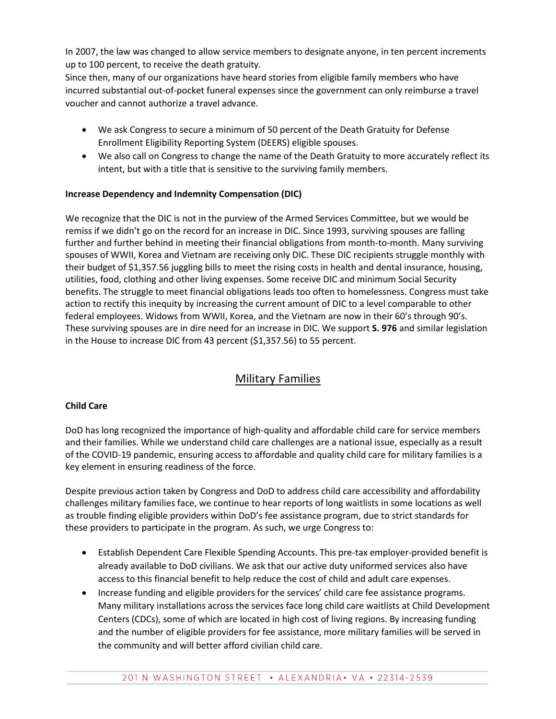In 2007, the law was changed to allow service members to designate anyone, in ten percent increments up to 100 percent, to receive the death gratuity.

Since then, many of our organizations have heard stories from eligible family members who have incurred substantial out-of-pocket funeral expenses since the government can only reimburse a travel voucher and cannot authorize a travel advance.

- We ask Congress to secure a minimum of 50 percent of the Death Gratuity for Defense Enrollment Eligibility Reporting System (DEERS) eligible spouses.
- We also call on Congress to change the name of the Death Gratuity to more accurately reflect its intent, but with a title that is sensitive to the surviving family members.

## **Increase Dependency and Indemnity Compensation (DIC)**

We recognize that the DIC is not in the purview of the Armed Services Committee, but we would be remiss if we didn't go on the record for an increase in DIC. Since 1993, surviving spouses are falling further and further behind in meeting their financial obligations from month-to-month. Many surviving spouses of WWII, Korea and Vietnam are receiving only DIC. These DIC recipients struggle monthly with their budget of \$1,357.56 juggling bills to meet the rising costs in health and dental insurance, housing, utilities, food, clothing and other living expenses. Some receive DIC and minimum Social Security benefits. The struggle to meet financial obligations leads too often to homelessness. Congress must take action to rectify this inequity by increasing the current amount of DIC to a level comparable to other federal employees. Widows from WWII, Korea, and the Vietnam are now in their 60's through 90's. These surviving spouses are in dire need for an increase in DIC. We support **S. 976** and similar legislation in the House to increase DIC from 43 percent (\$1,357.56) to 55 percent.

# Military Families

## **Child Care**

DoD has long recognized the importance of high-quality and affordable child care for service members and their families. While we understand child care challenges are a national issue, especially as a result of the COVID-19 pandemic, ensuring access to affordable and quality child care for military families is a key element in ensuring readiness of the force.

Despite previous action taken by Congress and DoD to address child care accessibility and affordability challenges military families face, we continue to hear reports of long waitlists in some locations as well as trouble finding eligible providers within DoD's fee assistance program, due to strict standards for these providers to participate in the program. As such, we urge Congress to:

- Establish Dependent Care Flexible Spending Accounts. This pre-tax employer-provided benefit is already available to DoD civilians. We ask that our active duty uniformed services also have access to this financial benefit to help reduce the cost of child and adult care expenses.
- Increase funding and eligible providers for the services' child care fee assistance programs. Many military installations across the services face long child care waitlists at Child Development Centers (CDCs), some of which are located in high cost of living regions. By increasing funding and the number of eligible providers for fee assistance, more military families will be served in the community and will better afford civilian child care.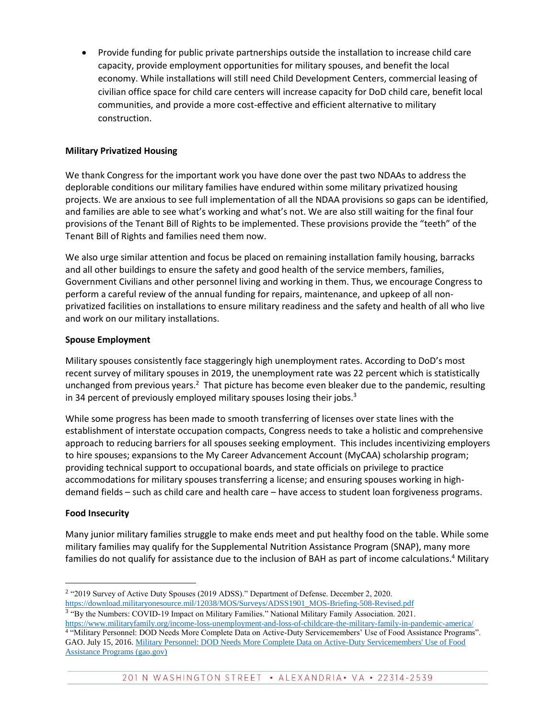Provide funding for public private partnerships outside the installation to increase child care capacity, provide employment opportunities for military spouses, and benefit the local economy. While installations will still need Child Development Centers, commercial leasing of civilian office space for child care centers will increase capacity for DoD child care, benefit local communities, and provide a more cost-effective and efficient alternative to military construction.

#### **Military Privatized Housing**

We thank Congress for the important work you have done over the past two NDAAs to address the deplorable conditions our military families have endured within some military privatized housing projects. We are anxious to see full implementation of all the NDAA provisions so gaps can be identified, and families are able to see what's working and what's not. We are also still waiting for the final four provisions of the Tenant Bill of Rights to be implemented. These provisions provide the "teeth" of the Tenant Bill of Rights and families need them now.

We also urge similar attention and focus be placed on remaining installation family housing, barracks and all other buildings to ensure the safety and good health of the service members, families, Government Civilians and other personnel living and working in them. Thus, we encourage Congress to perform a careful review of the annual funding for repairs, maintenance, and upkeep of all nonprivatized facilities on installations to ensure military readiness and the safety and health of all who live and work on our military installations.

#### **Spouse Employment**

Military spouses consistently face staggeringly high unemployment rates. According to DoD's most recent survey of military spouses in 2019, the unemployment rate was 22 percent which is statistically unchanged from previous years.<sup>2</sup> That picture has become even bleaker due to the pandemic, resulting in 34 percent of previously employed military spouses losing their jobs. $3$ 

While some progress has been made to smooth transferring of licenses over state lines with the establishment of interstate occupation compacts, Congress needs to take a holistic and comprehensive approach to reducing barriers for all spouses seeking employment. This includes incentivizing employers to hire spouses; expansions to the My Career Advancement Account (MyCAA) scholarship program; providing technical support to occupational boards, and state officials on privilege to practice accommodations for military spouses transferring a license; and ensuring spouses working in highdemand fields – such as child care and health care – have access to student loan forgiveness programs.

#### **Food Insecurity**

Many junior military families struggle to make ends meet and put healthy food on the table. While some military families may qualify for the Supplemental Nutrition Assistance Program (SNAP), many more families do not qualify for assistance due to the inclusion of BAH as part of income calculations.<sup>4</sup> Military

 $\overline{a}$ <sup>2</sup> "2019 Survey of Active Duty Spouses (2019 ADSS)." Department of Defense. December 2, 2020. [https://download.militaryonesource.mil/12038/MOS/Surveys/ADSS1901\\_MOS-Briefing-508-Revised.pdf](https://download.militaryonesource.mil/12038/MOS/Surveys/ADSS1901_MOS-Briefing-508-Revised.pdf)

<sup>&</sup>lt;sup>3</sup> "By the Numbers: COVID-19 Impact on Military Families." National Military Family Association. 2021. <https://www.militaryfamily.org/income-loss-unemployment-and-loss-of-childcare-the-military-family-in-pandemic-america/>

<sup>4</sup> "Military Personnel: DOD Needs More Complete Data on Active-Duty Servicemembers' Use of Food Assistance Programs". GAO. July 15, 2016[. Military Personnel: DOD Needs More Complete Data on Active-Duty Servicemembers' Use of Food](https://www.gao.gov/products/gao-16-561)  [Assistance Programs \(gao.gov\)](https://www.gao.gov/products/gao-16-561)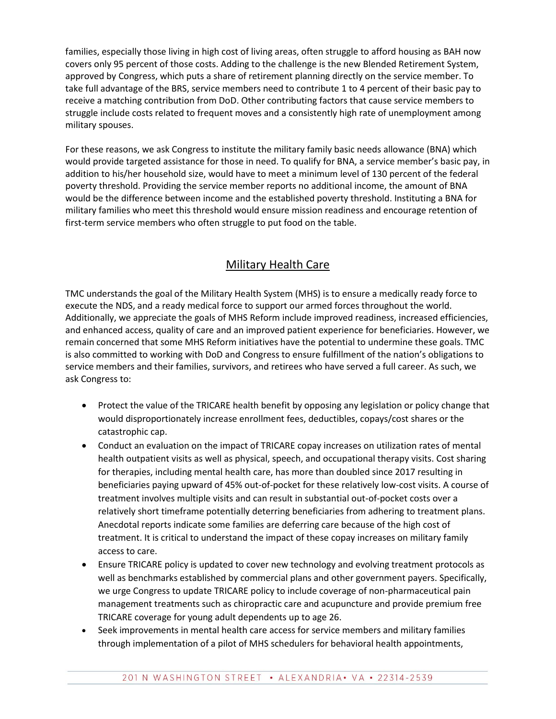families, especially those living in high cost of living areas, often struggle to afford housing as BAH now covers only 95 percent of those costs. Adding to the challenge is the new Blended Retirement System, approved by Congress, which puts a share of retirement planning directly on the service member. To take full advantage of the BRS, service members need to contribute 1 to 4 percent of their basic pay to receive a matching contribution from DoD. Other contributing factors that cause service members to struggle include costs related to frequent moves and a consistently high rate of unemployment among military spouses.

For these reasons, we ask Congress to institute the military family basic needs allowance (BNA) which would provide targeted assistance for those in need. To qualify for BNA, a service member's basic pay, in addition to his/her household size, would have to meet a minimum level of 130 percent of the federal poverty threshold. Providing the service member reports no additional income, the amount of BNA would be the difference between income and the established poverty threshold. Instituting a BNA for military families who meet this threshold would ensure mission readiness and encourage retention of first-term service members who often struggle to put food on the table.

# Military Health Care

TMC understands the goal of the Military Health System (MHS) is to ensure a medically ready force to execute the NDS, and a ready medical force to support our armed forces throughout the world. Additionally, we appreciate the goals of MHS Reform include improved readiness, increased efficiencies, and enhanced access, quality of care and an improved patient experience for beneficiaries. However, we remain concerned that some MHS Reform initiatives have the potential to undermine these goals. TMC is also committed to working with DoD and Congress to ensure fulfillment of the nation's obligations to service members and their families, survivors, and retirees who have served a full career. As such, we ask Congress to:

- Protect the value of the TRICARE health benefit by opposing any legislation or policy change that would disproportionately increase enrollment fees, deductibles, copays/cost shares or the catastrophic cap.
- Conduct an evaluation on the impact of TRICARE copay increases on utilization rates of mental health outpatient visits as well as physical, speech, and occupational therapy visits. Cost sharing for therapies, including mental health care, has more than doubled since 2017 resulting in beneficiaries paying upward of 45% out-of-pocket for these relatively low-cost visits. A course of treatment involves multiple visits and can result in substantial out-of-pocket costs over a relatively short timeframe potentially deterring beneficiaries from adhering to treatment plans. Anecdotal reports indicate some families are deferring care because of the high cost of treatment. It is critical to understand the impact of these copay increases on military family access to care.
- Ensure TRICARE policy is updated to cover new technology and evolving treatment protocols as well as benchmarks established by commercial plans and other government payers. Specifically, we urge Congress to update TRICARE policy to include coverage of non-pharmaceutical pain management treatments such as chiropractic care and acupuncture and provide premium free TRICARE coverage for young adult dependents up to age 26.
- Seek improvements in mental health care access for service members and military families through implementation of a pilot of MHS schedulers for behavioral health appointments,